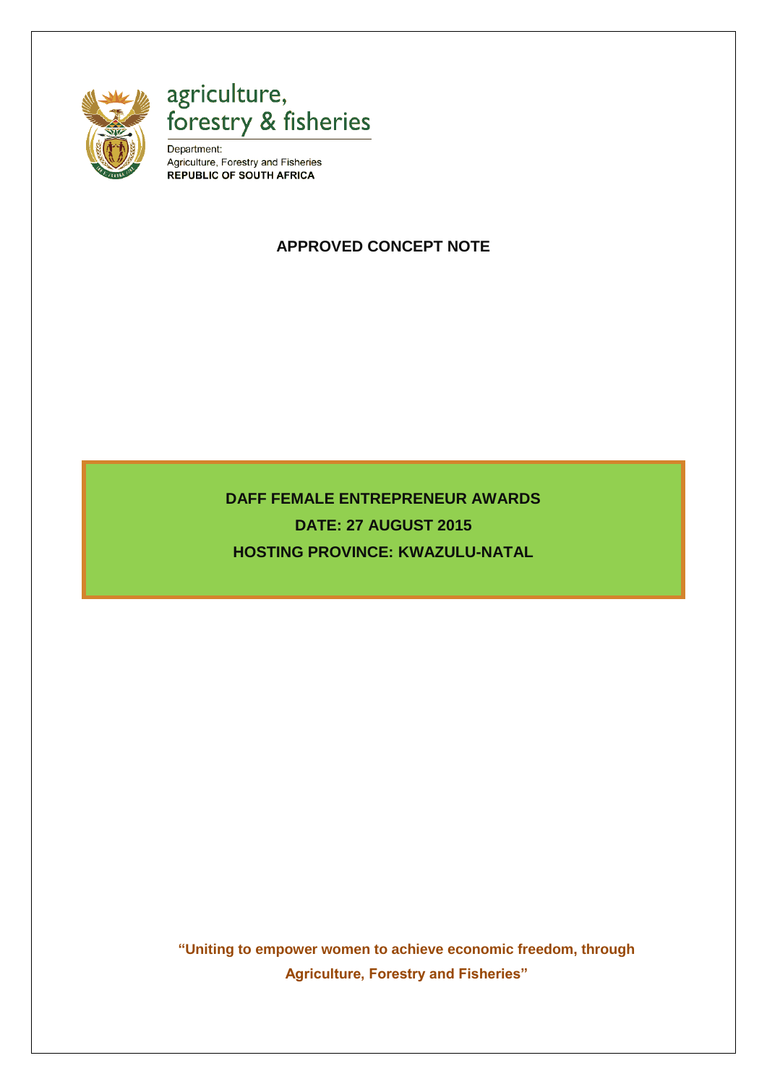

agriculture,<br>forestry & fisheries

Department: Agriculture, Forestry and Fisheries **REPUBLIC OF SOUTH AFRICA** 

# **APPROVED CONCEPT NOTE**

**DAFF FEMALE ENTREPRENEUR AWARDS DATE: 27 AUGUST 2015 HOSTING PROVINCE: KWAZULU-NATAL**

**"Uniting to empower women to achieve economic freedom, through Agriculture, Forestry and Fisheries"**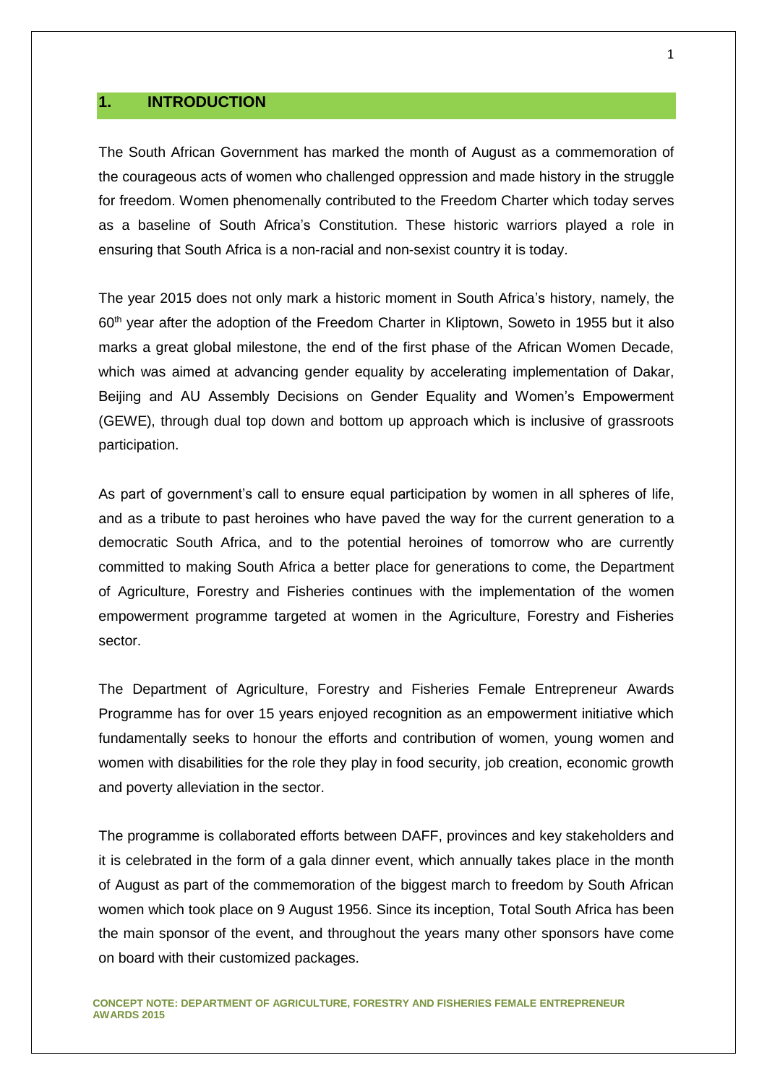# **1. INTRODUCTION**

The South African Government has marked the month of August as a commemoration of the courageous acts of women who challenged oppression and made history in the struggle for freedom. Women phenomenally contributed to the Freedom Charter which today serves as a baseline of South Africa's Constitution. These historic warriors played a role in ensuring that South Africa is a non-racial and non-sexist country it is today.

The year 2015 does not only mark a historic moment in South Africa's history, namely, the 60th year after the adoption of the Freedom Charter in Kliptown, Soweto in 1955 but it also marks a great global milestone, the end of the first phase of the African Women Decade, which was aimed at advancing gender equality by accelerating implementation of Dakar, Beijing and AU Assembly Decisions on Gender Equality and Women's Empowerment (GEWE), through dual top down and bottom up approach which is inclusive of grassroots participation.

As part of government's call to ensure equal participation by women in all spheres of life, and as a tribute to past heroines who have paved the way for the current generation to a democratic South Africa, and to the potential heroines of tomorrow who are currently committed to making South Africa a better place for generations to come, the Department of Agriculture, Forestry and Fisheries continues with the implementation of the women empowerment programme targeted at women in the Agriculture, Forestry and Fisheries sector.

The Department of Agriculture, Forestry and Fisheries Female Entrepreneur Awards Programme has for over 15 years enjoyed recognition as an empowerment initiative which fundamentally seeks to honour the efforts and contribution of women, young women and women with disabilities for the role they play in food security, job creation, economic growth and poverty alleviation in the sector.

The programme is collaborated efforts between DAFF, provinces and key stakeholders and it is celebrated in the form of a gala dinner event, which annually takes place in the month of August as part of the commemoration of the biggest march to freedom by South African women which took place on 9 August 1956. Since its inception, Total South Africa has been the main sponsor of the event, and throughout the years many other sponsors have come on board with their customized packages.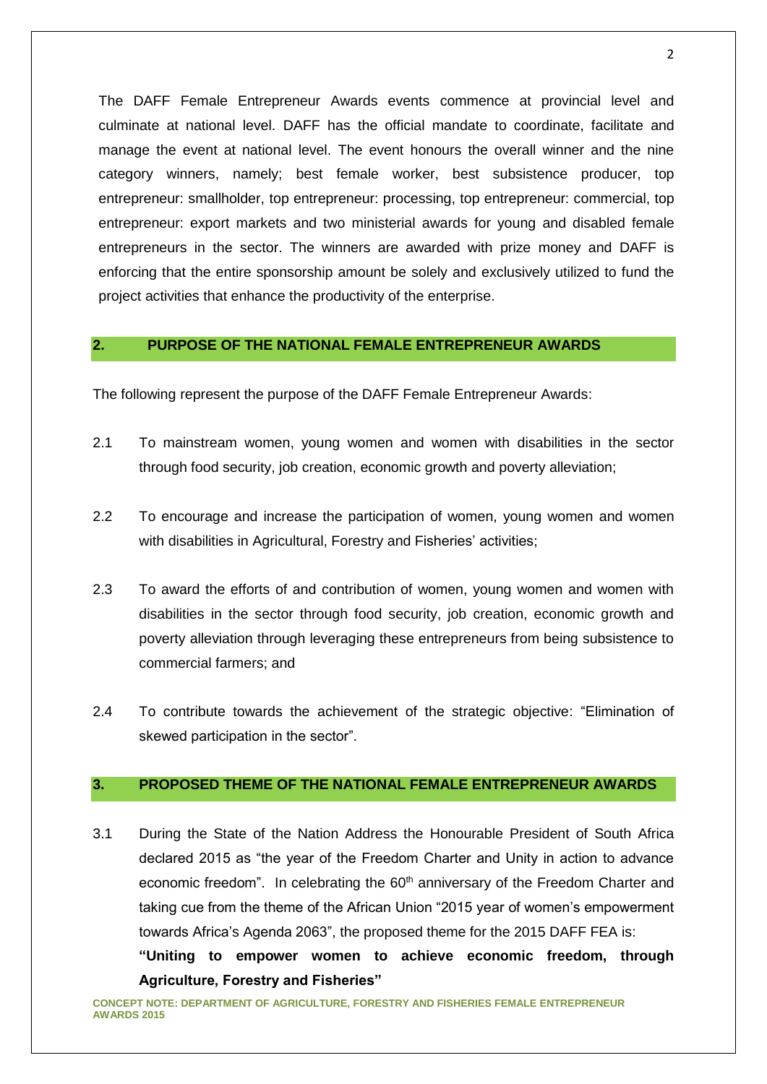The DAFF Female Entrepreneur Awards events commence at provincial level and culminate at national level. DAFF has the official mandate to coordinate, facilitate and manage the event at national level. The event honours the overall winner and the nine category winners, namely; best female worker, best subsistence producer, top entrepreneur: smallholder, top entrepreneur: processing, top entrepreneur: commercial, top entrepreneur: export markets and two ministerial awards for young and disabled female entrepreneurs in the sector. The winners are awarded with prize money and DAFF is enforcing that the entire sponsorship amount be solely and exclusively utilized to fund the project activities that enhance the productivity of the enterprise.

# **2. PURPOSE OF THE NATIONAL FEMALE ENTREPRENEUR AWARDS**

The following represent the purpose of the DAFF Female Entrepreneur Awards:

- 2.1 To mainstream women, young women and women with disabilities in the sector through food security, job creation, economic growth and poverty alleviation;
- 2.2 To encourage and increase the participation of women, young women and women with disabilities in Agricultural, Forestry and Fisheries' activities;
- 2.3 To award the efforts of and contribution of women, young women and women with disabilities in the sector through food security, job creation, economic growth and poverty alleviation through leveraging these entrepreneurs from being subsistence to commercial farmers; and
- 2.4 To contribute towards the achievement of the strategic objective: "Elimination of skewed participation in the sector".

# **3. PROPOSED THEME OF THE NATIONAL FEMALE ENTREPRENEUR AWARDS**

3.1 During the State of the Nation Address the Honourable President of South Africa declared 2015 as "the year of the Freedom Charter and Unity in action to advance economic freedom". In celebrating the 60<sup>th</sup> anniversary of the Freedom Charter and taking cue from the theme of the African Union "2015 year of women's empowerment towards Africa's Agenda 2063", the proposed theme for the 2015 DAFF FEA is:

**"Uniting to empower women to achieve economic freedom, through Agriculture, Forestry and Fisheries"**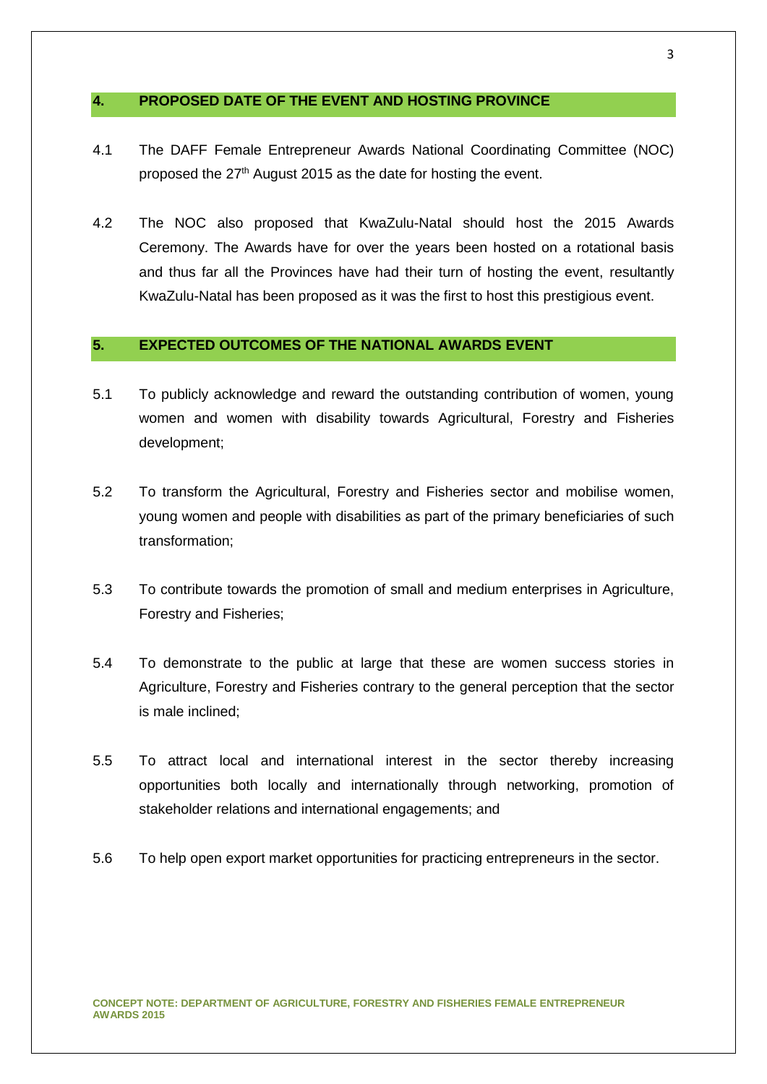# **4. PROPOSED DATE OF THE EVENT AND HOSTING PROVINCE**

- 4.1 The DAFF Female Entrepreneur Awards National Coordinating Committee (NOC) proposed the 27<sup>th</sup> August 2015 as the date for hosting the event.
- 4.2 The NOC also proposed that KwaZulu-Natal should host the 2015 Awards Ceremony. The Awards have for over the years been hosted on a rotational basis and thus far all the Provinces have had their turn of hosting the event, resultantly KwaZulu-Natal has been proposed as it was the first to host this prestigious event.

# **5. EXPECTED OUTCOMES OF THE NATIONAL AWARDS EVENT**

- 5.1 To publicly acknowledge and reward the outstanding contribution of women, young women and women with disability towards Agricultural, Forestry and Fisheries development;
- 5.2 To transform the Agricultural, Forestry and Fisheries sector and mobilise women, young women and people with disabilities as part of the primary beneficiaries of such transformation;
- 5.3 To contribute towards the promotion of small and medium enterprises in Agriculture, Forestry and Fisheries;
- 5.4 To demonstrate to the public at large that these are women success stories in Agriculture, Forestry and Fisheries contrary to the general perception that the sector is male inclined;
- 5.5 To attract local and international interest in the sector thereby increasing opportunities both locally and internationally through networking, promotion of stakeholder relations and international engagements; and
- 5.6 To help open export market opportunities for practicing entrepreneurs in the sector.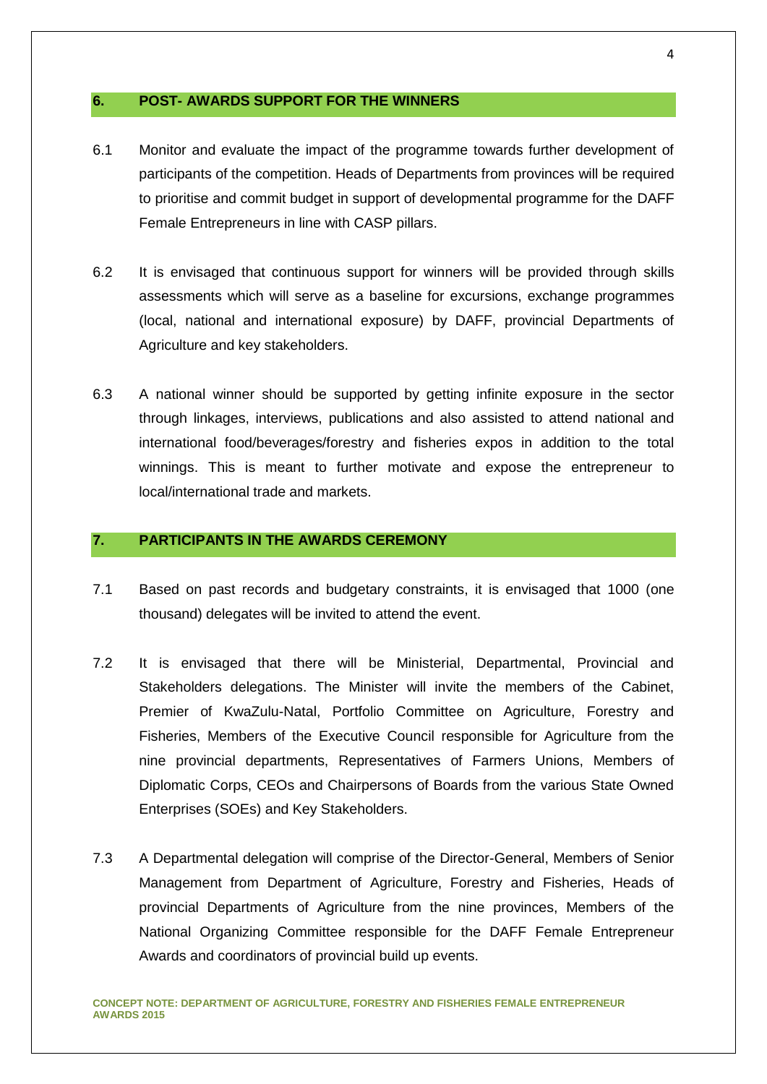### **6. POST- AWARDS SUPPORT FOR THE WINNERS**

- 6.1 Monitor and evaluate the impact of the programme towards further development of participants of the competition. Heads of Departments from provinces will be required to prioritise and commit budget in support of developmental programme for the DAFF Female Entrepreneurs in line with CASP pillars.
- 6.2 It is envisaged that continuous support for winners will be provided through skills assessments which will serve as a baseline for excursions, exchange programmes (local, national and international exposure) by DAFF, provincial Departments of Agriculture and key stakeholders.
- 6.3 A national winner should be supported by getting infinite exposure in the sector through linkages, interviews, publications and also assisted to attend national and international food/beverages/forestry and fisheries expos in addition to the total winnings. This is meant to further motivate and expose the entrepreneur to local/international trade and markets.

# **7. PARTICIPANTS IN THE AWARDS CEREMONY**

- 7.1 Based on past records and budgetary constraints, it is envisaged that 1000 (one thousand) delegates will be invited to attend the event.
- 7.2 It is envisaged that there will be Ministerial, Departmental, Provincial and Stakeholders delegations. The Minister will invite the members of the Cabinet, Premier of KwaZulu-Natal, Portfolio Committee on Agriculture, Forestry and Fisheries, Members of the Executive Council responsible for Agriculture from the nine provincial departments, Representatives of Farmers Unions, Members of Diplomatic Corps, CEOs and Chairpersons of Boards from the various State Owned Enterprises (SOEs) and Key Stakeholders.
- 7.3 A Departmental delegation will comprise of the Director-General, Members of Senior Management from Department of Agriculture, Forestry and Fisheries, Heads of provincial Departments of Agriculture from the nine provinces, Members of the National Organizing Committee responsible for the DAFF Female Entrepreneur Awards and coordinators of provincial build up events.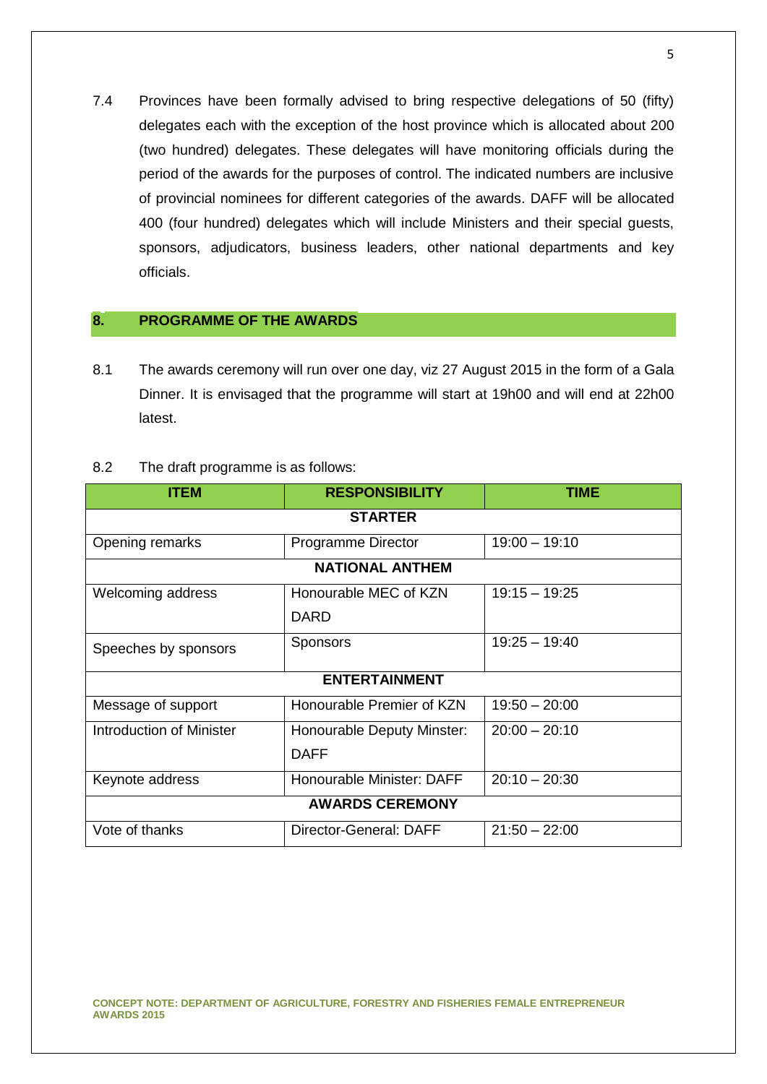7.4 Provinces have been formally advised to bring respective delegations of 50 (fifty) delegates each with the exception of the host province which is allocated about 200 (two hundred) delegates. These delegates will have monitoring officials during the period of the awards for the purposes of control. The indicated numbers are inclusive of provincial nominees for different categories of the awards. DAFF will be allocated 400 (four hundred) delegates which will include Ministers and their special guests, sponsors, adjudicators, business leaders, other national departments and key officials.

# **8. PROGRAMME OF THE AWARDS**

8.1 The awards ceremony will run over one day, viz 27 August 2015 in the form of a Gala Dinner. It is envisaged that the programme will start at 19h00 and will end at 22h00 latest.

| 8.2 | The draft programme is as follows: |  |
|-----|------------------------------------|--|
|     |                                    |  |

| <b>ITEM</b>                     | <b>RESPONSIBILITY</b>      | <b>TIME</b>     |  |
|---------------------------------|----------------------------|-----------------|--|
| <b>STARTER</b>                  |                            |                 |  |
| Opening remarks                 | Programme Director         | $19:00 - 19:10$ |  |
| <b>NATIONAL ANTHEM</b>          |                            |                 |  |
| <b>Welcoming address</b>        | Honourable MEC of KZN      | $19:15 - 19:25$ |  |
|                                 | <b>DARD</b>                |                 |  |
| Speeches by sponsors            | <b>Sponsors</b>            | $19:25 - 19:40$ |  |
| <b>ENTERTAINMENT</b>            |                            |                 |  |
| Message of support              | Honourable Premier of KZN  | $19:50 - 20:00$ |  |
| <b>Introduction of Minister</b> | Honourable Deputy Minster: | $20:00 - 20:10$ |  |
|                                 | <b>DAFF</b>                |                 |  |
| Keynote address                 | Honourable Minister: DAFF  | $20:10 - 20:30$ |  |
| <b>AWARDS CEREMONY</b>          |                            |                 |  |
| Vote of thanks                  | Director-General: DAFF     | $21:50 - 22:00$ |  |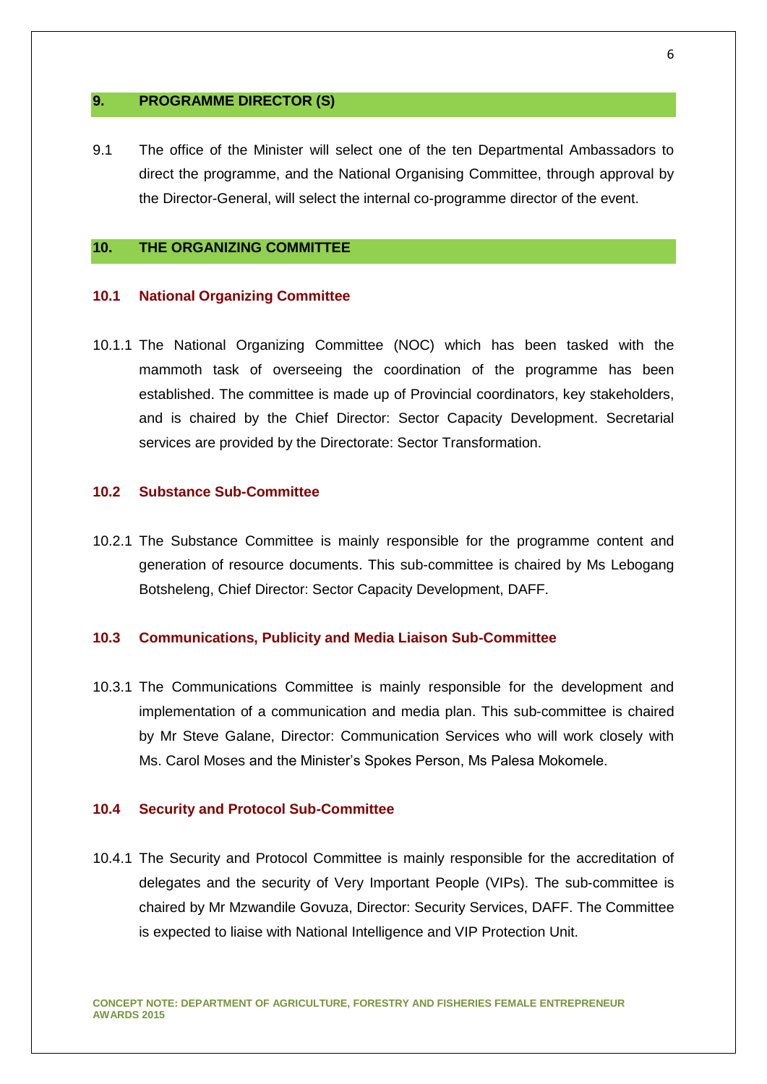#### **9. PROGRAMME DIRECTOR (S)**

9.1 The office of the Minister will select one of the ten Departmental Ambassadors to direct the programme, and the National Organising Committee, through approval by the Director-General, will select the internal co-programme director of the event.

# **10. THE ORGANIZING COMMITTEE**

#### **10.1 National Organizing Committee**

10.1.1 The National Organizing Committee (NOC) which has been tasked with the mammoth task of overseeing the coordination of the programme has been established. The committee is made up of Provincial coordinators, key stakeholders, and is chaired by the Chief Director: Sector Capacity Development. Secretarial services are provided by the Directorate: Sector Transformation.

#### **10.2 Substance Sub-Committee**

10.2.1 The Substance Committee is mainly responsible for the programme content and generation of resource documents. This sub-committee is chaired by Ms Lebogang Botsheleng, Chief Director: Sector Capacity Development, DAFF.

#### **10.3 Communications, Publicity and Media Liaison Sub-Committee**

10.3.1 The Communications Committee is mainly responsible for the development and implementation of a communication and media plan. This sub-committee is chaired by Mr Steve Galane, Director: Communication Services who will work closely with Ms. Carol Moses and the Minister's Spokes Person, Ms Palesa Mokomele.

#### **10.4 Security and Protocol Sub-Committee**

10.4.1 The Security and Protocol Committee is mainly responsible for the accreditation of delegates and the security of Very Important People (VIPs). The sub-committee is chaired by Mr Mzwandile Govuza, Director: Security Services, DAFF. The Committee is expected to liaise with National Intelligence and VIP Protection Unit.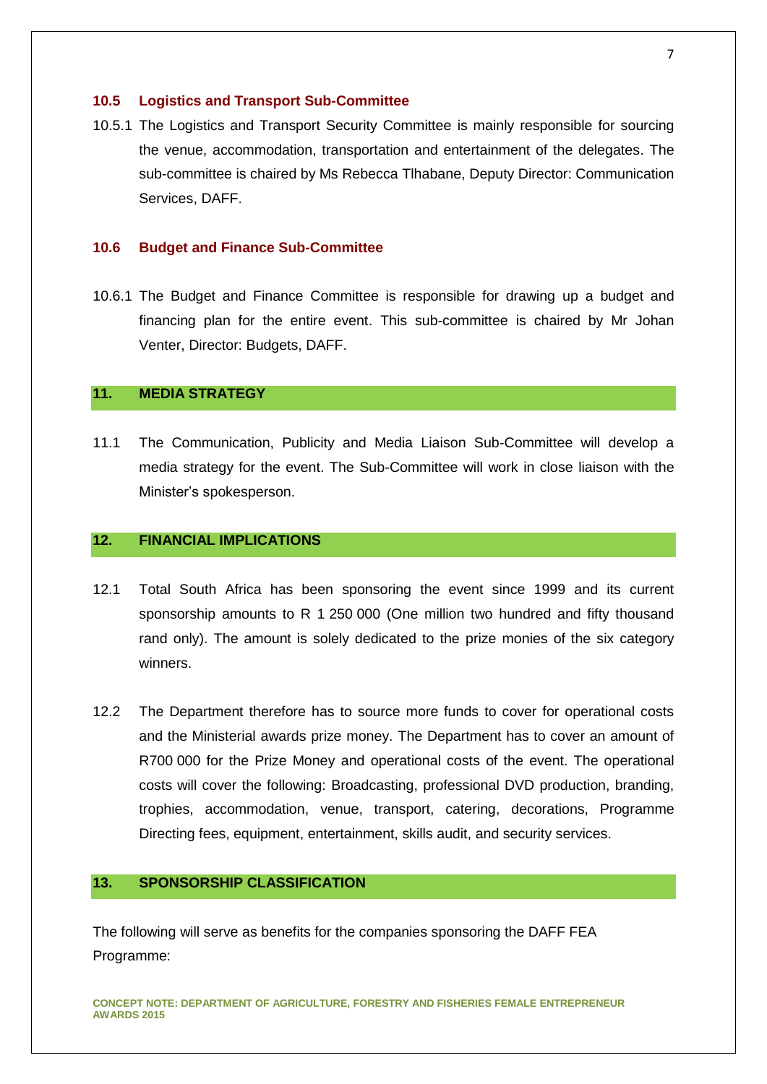#### **10.5 Logistics and Transport Sub-Committee**

10.5.1 The Logistics and Transport Security Committee is mainly responsible for sourcing the venue, accommodation, transportation and entertainment of the delegates. The sub-committee is chaired by Ms Rebecca Tlhabane, Deputy Director: Communication Services, DAFF.

# **10.6 Budget and Finance Sub-Committee**

10.6.1 The Budget and Finance Committee is responsible for drawing up a budget and financing plan for the entire event. This sub-committee is chaired by Mr Johan Venter, Director: Budgets, DAFF.

# **11. MEDIA STRATEGY**

11.1 The Communication, Publicity and Media Liaison Sub-Committee will develop a media strategy for the event. The Sub-Committee will work in close liaison with the Minister's spokesperson.

# **12. FINANCIAL IMPLICATIONS**

- 12.1 Total South Africa has been sponsoring the event since 1999 and its current sponsorship amounts to R 1 250 000 (One million two hundred and fifty thousand rand only). The amount is solely dedicated to the prize monies of the six category winners.
- 12.2 The Department therefore has to source more funds to cover for operational costs and the Ministerial awards prize money. The Department has to cover an amount of R700 000 for the Prize Money and operational costs of the event. The operational costs will cover the following: Broadcasting, professional DVD production, branding, trophies, accommodation, venue, transport, catering, decorations, Programme Directing fees, equipment, entertainment, skills audit, and security services.

# **13. SPONSORSHIP CLASSIFICATION**

The following will serve as benefits for the companies sponsoring the DAFF FEA Programme:

**CONCEPT NOTE: DEPARTMENT OF AGRICULTURE, FORESTRY AND FISHERIES FEMALE ENTREPRENEUR AWARDS 2015**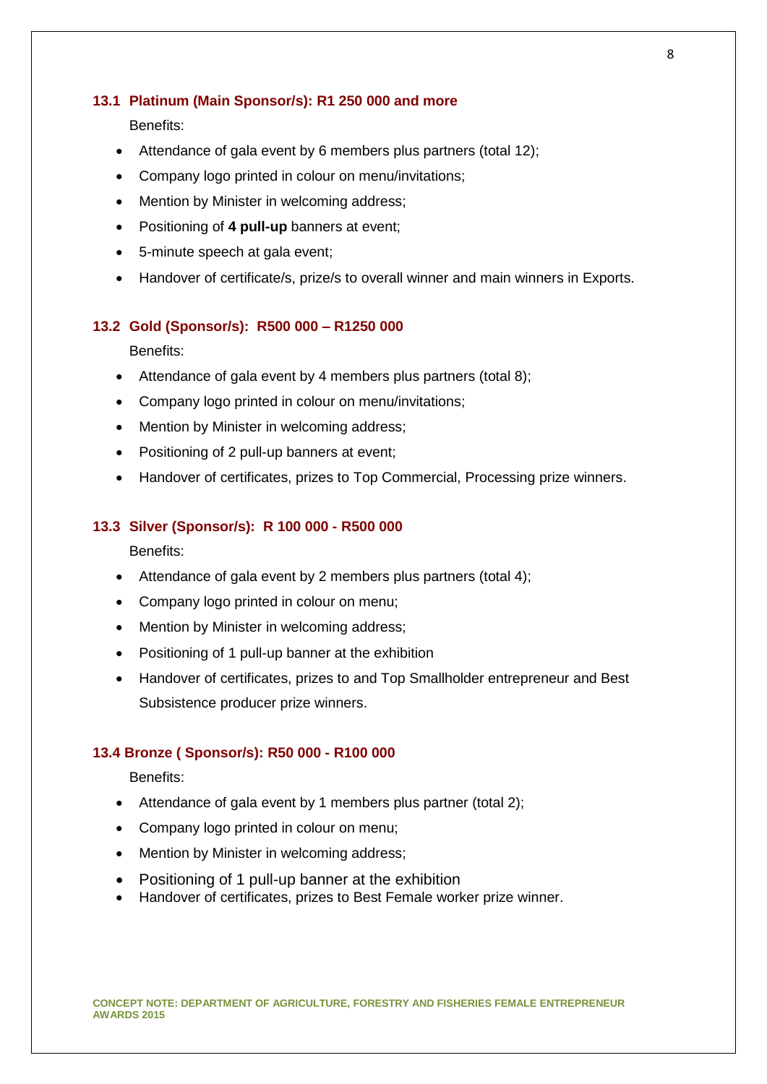### **13.1 Platinum (Main Sponsor/s): R1 250 000 and more**

Benefits:

- Attendance of gala event by 6 members plus partners (total 12);
- Company logo printed in colour on menu/invitations;
- Mention by Minister in welcoming address;
- Positioning of **4 pull-up** banners at event;
- 5-minute speech at gala event;
- Handover of certificate/s, prize/s to overall winner and main winners in Exports.

## **13.2 Gold (Sponsor/s): R500 000 – R1250 000**

Benefits:

- Attendance of gala event by 4 members plus partners (total 8);
- Company logo printed in colour on menu/invitations:
- Mention by Minister in welcoming address;
- Positioning of 2 pull-up banners at event;
- Handover of certificates, prizes to Top Commercial, Processing prize winners.

#### **13.3 Silver (Sponsor/s): R 100 000 - R500 000**

Benefits:

- Attendance of gala event by 2 members plus partners (total 4);
- Company logo printed in colour on menu;
- Mention by Minister in welcoming address;
- Positioning of 1 pull-up banner at the exhibition
- Handover of certificates, prizes to and Top Smallholder entrepreneur and Best Subsistence producer prize winners.

# **13.4 Bronze ( Sponsor/s): R50 000 - R100 000**

Benefits:

- Attendance of gala event by 1 members plus partner (total 2);
- Company logo printed in colour on menu;
- Mention by Minister in welcoming address:
- Positioning of 1 pull-up banner at the exhibition
- Handover of certificates, prizes to Best Female worker prize winner.